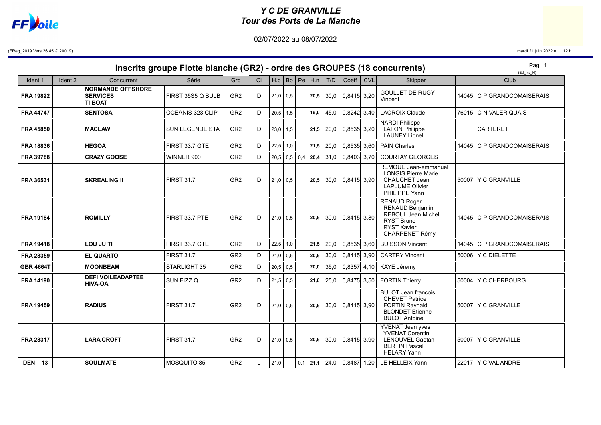## Y C DE GRANVILLE Tour des Ports de La Manche

02/07/2022 au 08/07/2022



(FReg\_2019 Vers.26.45 © 20019) mardi 21 juin 2022 à 11.12 h.

| Inscrits groupe Flotte blanche (GR2) - ordre des GROUPES (18 concurrents) |         |                                                               |                        |                 |    |            |     |  |                                     |      |                                     | Pag 1<br>$(Ed$ Ins $H)$ |                                                                                                                                         |  |                            |
|---------------------------------------------------------------------------|---------|---------------------------------------------------------------|------------------------|-----------------|----|------------|-----|--|-------------------------------------|------|-------------------------------------|-------------------------|-----------------------------------------------------------------------------------------------------------------------------------------|--|----------------------------|
| Ident 1                                                                   | Ident 2 | Concurrent                                                    | Série                  | Grp             | CI |            |     |  | $H.b \mid Bo \mid Pe \mid H.n \mid$ | T/D  | Coeff                               | <b>CVL</b>              | Skipper                                                                                                                                 |  | Club                       |
| <b>FRA 19822</b>                                                          |         | <b>NORMANDE OFFSHORE</b><br><b>SERVICES</b><br><b>TI BOAT</b> | FIRST 35S5 Q BULB      | GR <sub>2</sub> | D  | $21,0$ 0.5 |     |  | 20,5                                |      | $30,0$ 0,8415 3,20                  |                         | <b>GOULLET DE RUGY</b><br>Vincent                                                                                                       |  | 14045 C P GRANDCOMAISERAIS |
| <b>FRA 44747</b>                                                          |         | <b>SENTOSA</b>                                                | OCEANIS 323 CLIP       | GR <sub>2</sub> | D  | $20,5$ 1,5 |     |  | 19,0                                | 45,0 | $0,8242$ 3,40                       |                         | <b>LACROIX Claude</b>                                                                                                                   |  | 76015 C N VALERIQUAIS      |
| <b>FRA 45850</b>                                                          |         | <b>MACLAW</b>                                                 | <b>SUN LEGENDE STA</b> | GR <sub>2</sub> | D  | $23,0$ 1,5 |     |  | 21,5                                | 20,0 | $0,8535$ 3,20                       |                         | <b>NARDI Philippe</b><br><b>LAFON Philippe</b><br><b>LAUNEY Lionel</b>                                                                  |  | <b>CARTERET</b>            |
| <b>FRA 18836</b>                                                          |         | <b>HEGOA</b>                                                  | FIRST 33.7 GTE         | GR <sub>2</sub> | D  | $22,5$ 1,0 |     |  | 21,5                                | 20,0 | $0,8535$ 3,60                       |                         | <b>PAIN Charles</b>                                                                                                                     |  | 14045 C P GRANDCOMAISERAIS |
| FRA 39788                                                                 |         | <b>CRAZY GOOSE</b>                                            | WINNER 900             | GR <sub>2</sub> | D  |            |     |  | $20,5$ 0.5 0.4 <b>20.4</b>          | 31,0 | 0,8403 3,70                         |                         | <b>COURTAY GEORGES</b>                                                                                                                  |  |                            |
| FRA 36531                                                                 |         | <b>SKREALING II</b>                                           | <b>FIRST 31.7</b>      | GR <sub>2</sub> | D  | $21,0$ 0.5 |     |  | 20.5                                |      | $30.0$ 0.8415 3.90                  |                         | REMOUE Jean-emmanuel<br><b>LONGIS Pierre Marie</b><br><b>CHAUCHET Jean</b><br><b>LAPLUME Olivier</b><br>PHILIPPE Yann                   |  | 50007 Y C GRANVILLE        |
| <b>FRA 19184</b>                                                          |         | <b>ROMILLY</b>                                                | FIRST 33.7 PTE         | GR <sub>2</sub> | D  | $21,0$ 0.5 |     |  | 20,5                                |      | $30.0$ 0.8415 3.80                  |                         | <b>RENAUD Roger</b><br><b>RENAUD Benjamin</b><br><b>REBOUL Jean Michel</b><br><b>RYST Bruno</b><br><b>RYST Xavier</b><br>CHARPENET Rémy |  | 14045 C P GRANDCOMAISERAIS |
| <b>FRA 19418</b>                                                          |         | LOU JU TI                                                     | FIRST 33.7 GTE         | GR <sub>2</sub> | D  | 22,5       | 1,0 |  | 21,5                                | 20,0 | $0,8535$ 3,60                       |                         | <b>BUISSON Vincent</b>                                                                                                                  |  | 14045 C P GRANDCOMAISERAIS |
| FRA 28359                                                                 |         | <b>EL QUARTO</b>                                              | <b>FIRST 31.7</b>      | GR <sub>2</sub> | D  | $21,0$ 0,5 |     |  | 20,5                                | 30,0 | $0,8415$ 3,90                       |                         | <b>CARTRY Vincent</b>                                                                                                                   |  | 50006 Y C DIELETTE         |
| <b>GBR 4664T</b>                                                          |         | <b>MOONBEAM</b>                                               | STARLIGHT 35           | GR <sub>2</sub> | D  | $20,5$ 0.5 |     |  | 20,0                                | 35,0 | $0,8357$ 4,10                       |                         | KAYE Jéremy                                                                                                                             |  |                            |
| <b>FRA 14190</b>                                                          |         | <b>DEFI VOILEADAPTEE</b><br><b>HIVA-OA</b>                    | SUN FIZZ Q             | GR <sub>2</sub> | D  | $21.5$ 0.5 |     |  | 21,0                                | 25,0 | 0,8475 3,50                         |                         | <b>FORTIN Thierry</b>                                                                                                                   |  | 50004 Y C CHERBOURG        |
| <b>FRA 19459</b>                                                          |         | <b>RADIUS</b>                                                 | <b>FIRST 31.7</b>      | GR <sub>2</sub> | D  | $21,0$ 0.5 |     |  | 20.5                                |      | $30.0$ 0.8415 3.90                  |                         | <b>BULOT Jean francois</b><br><b>CHEVET Patrice</b><br><b>FORTIN Raynald</b><br><b>BLONDET Etienne</b><br><b>BULOT Antoine</b>          |  | 50007 Y C GRANVILLE        |
| <b>FRA 28317</b>                                                          |         | <b>LARA CROFT</b>                                             | <b>FIRST 31.7</b>      | GR <sub>2</sub> | D  | $21,0$ 0.5 |     |  | 20.5                                |      | $30.0$ 0.8415 3.90                  |                         | <b>YVENAT Jean yves</b><br><b>YVENAT Corentin</b><br><b>LENOUVEL Gaetan</b><br><b>BERTIN Pascal</b><br><b>HELARY Yann</b>               |  | 50007 Y C GRANVILLE        |
| <b>DEN 13</b>                                                             |         | <b>SOULMATE</b>                                               | <b>MOSQUITO 85</b>     | GR <sub>2</sub> | L  | 21,0       |     |  |                                     |      | $0,1$   21,1   24,0   0,8487   1,20 |                         | LE HELLEIX Yann                                                                                                                         |  | 22017 Y C VAL ANDRE        |